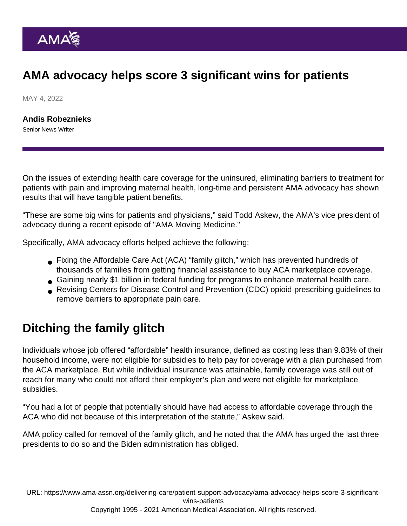## AMA advocacy helps score 3 significant wins for patients

MAY 4, 2022

[Andis Robeznieks](https://www.ama-assn.org/news-leadership-viewpoints/authors-news-leadership-viewpoints/andis-robeznieks) Senior News Writer

On the issues of extending health care coverage for the uninsured, eliminating barriers to treatment for patients with pain and improving maternal health, long-time and persistent AMA advocacy has shown results that will have tangible patient benefits.

"These are some big wins for patients and physicians," said Todd Askew, the AMA's vice president of advocacy during a [recent episode](https://www.ama-assn.org/delivering-care/patient-support-advocacy/provider-relief-funding-reporting-maternal-health-care) of ["AMA Moving Medicine.](https://www.ama-assn.org/series/moving-medicine-video-series)"

Specifically, AMA advocacy efforts helped achieve the following:

- Fixing the Affordable Care Act (ACA) "family glitch," which has prevented hundreds of thousands of families from getting financial assistance to buy ACA marketplace coverage.
- Gaining nearly \$1 billion in federal funding for programs to enhance maternal health care.
- Revising Centers for Disease Control and Prevention (CDC) opioid-prescribing guidelines to remove barriers to appropriate pain care.

## Ditching the family glitch

Individuals whose job offered "affordable" health insurance, defined as costing less than 9.83% of their household income, were not eligible for subsidies to help pay for coverage with a plan purchased from the ACA marketplace. But while individual insurance was attainable, family coverage was still out of reach for many who could not afford their employer's plan and were not eligible for marketplace subsidies.

"You had a lot of people that potentially should have had access to affordable coverage through the ACA who did not because of this interpretation of the statute," Askew said.

[AMA policy](https://policysearch.ama-assn.org/policyfinder/detail/marketplace?uri=/AMADoc/HOD.xml-0-814.xml) called for removal of the family glitch, and he noted that the AMA has urged the last three presidents to do so and the Biden administration has obliged.

URL: [https://www.ama-assn.org/delivering-care/patient-support-advocacy/ama-advocacy-helps-score-3-significant](https://www.ama-assn.org/delivering-care/patient-support-advocacy/ama-advocacy-helps-score-3-significant-wins-patients)[wins-patients](https://www.ama-assn.org/delivering-care/patient-support-advocacy/ama-advocacy-helps-score-3-significant-wins-patients)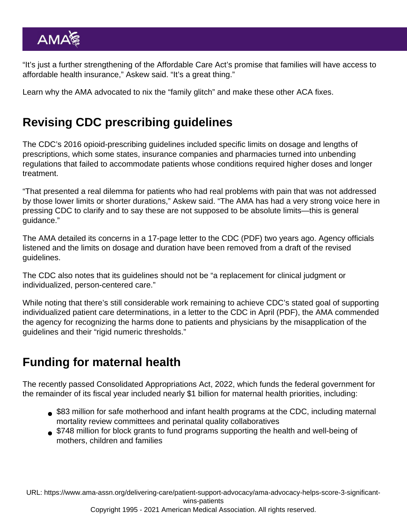"It's just a further strengthening of the Affordable Care Act's promise that families will have access to affordable health insurance," Askew said. "It's a great thing."

Learn why the AMA advocated to [nix the "family glitch" and make these other ACA fixes.](https://www.ama-assn.org/about/leadership/time-nix-family-glitch-and-make-these-other-aca-fixes)

## Revising CDC prescribing guidelines

The CDC's 2016 opioid-prescribing guidelines included specific limits on dosage and lengths of prescriptions, which some states, insurance companies and pharmacies turned into unbending regulations that failed to accommodate patients whose conditions required higher doses and longer treatment.

"That presented a real dilemma for patients who had real problems with pain that was not addressed by those lower limits or shorter durations," Askew said. "The AMA has had a very strong voice here in pressing CDC to clarify and to say these are not supposed to be absolute limits—this is general guidance."

The AMA detailed its concerns in a [17-page letter to the CDC](https://searchlf.ama-assn.org/letter/documentDownload?uri=/unstructured/binary/letter/LETTERS/2020-6-16-Letter-to-Dowell-re-Opioid-Rx-Guideline.pdf) (PDF) two years ago. Agency officials listened and the limits on dosage and duration have been removed from a draft of the revised guidelines.

The CDC also notes that its guidelines should not be "a replacement for clinical judgment or individualized, person-centered care."

While noting that there's still considerable work remaining to achieve CDC's stated goal of supporting individualized patient care determinations, in [a letter to the CDC in April](https://searchlf.ama-assn.org/letter/documentDownload?uri=/unstructured/binary/letter/LETTERS/2022-4-11-Letter-to-Jones-re-2022-CDC-Proposed-Clinical-Guidelines-for-Prescribing-Opioids-v2.pdf) (PDF), the AMA commended the agency for recognizing the harms done to patients and physicians by the misapplication of the guidelines and their "rigid numeric thresholds."

## Funding for maternal health

The recently passed Consolidated Appropriations Act, 2022, which funds the federal government for the remainder of its fiscal year included nearly \$1 billion for maternal health priorities, including:

- \$83 million for safe motherhood and infant health programs at the CDC, including [maternal](https://policysearch.ama-assn.org/policyfinder/detail/maternal mortality?uri=/AMADoc/HOD.xml-H-60.909.xml) [mortality review committees](https://policysearch.ama-assn.org/policyfinder/detail/maternal mortality?uri=/AMADoc/HOD.xml-H-60.909.xml) and perinatal quality collaboratives
- \$748 million for block grants to fund programs supporting the health and well-being of mothers, children and families

URL: [https://www.ama-assn.org/delivering-care/patient-support-advocacy/ama-advocacy-helps-score-3-significant](https://www.ama-assn.org/delivering-care/patient-support-advocacy/ama-advocacy-helps-score-3-significant-wins-patients)[wins-patients](https://www.ama-assn.org/delivering-care/patient-support-advocacy/ama-advocacy-helps-score-3-significant-wins-patients)